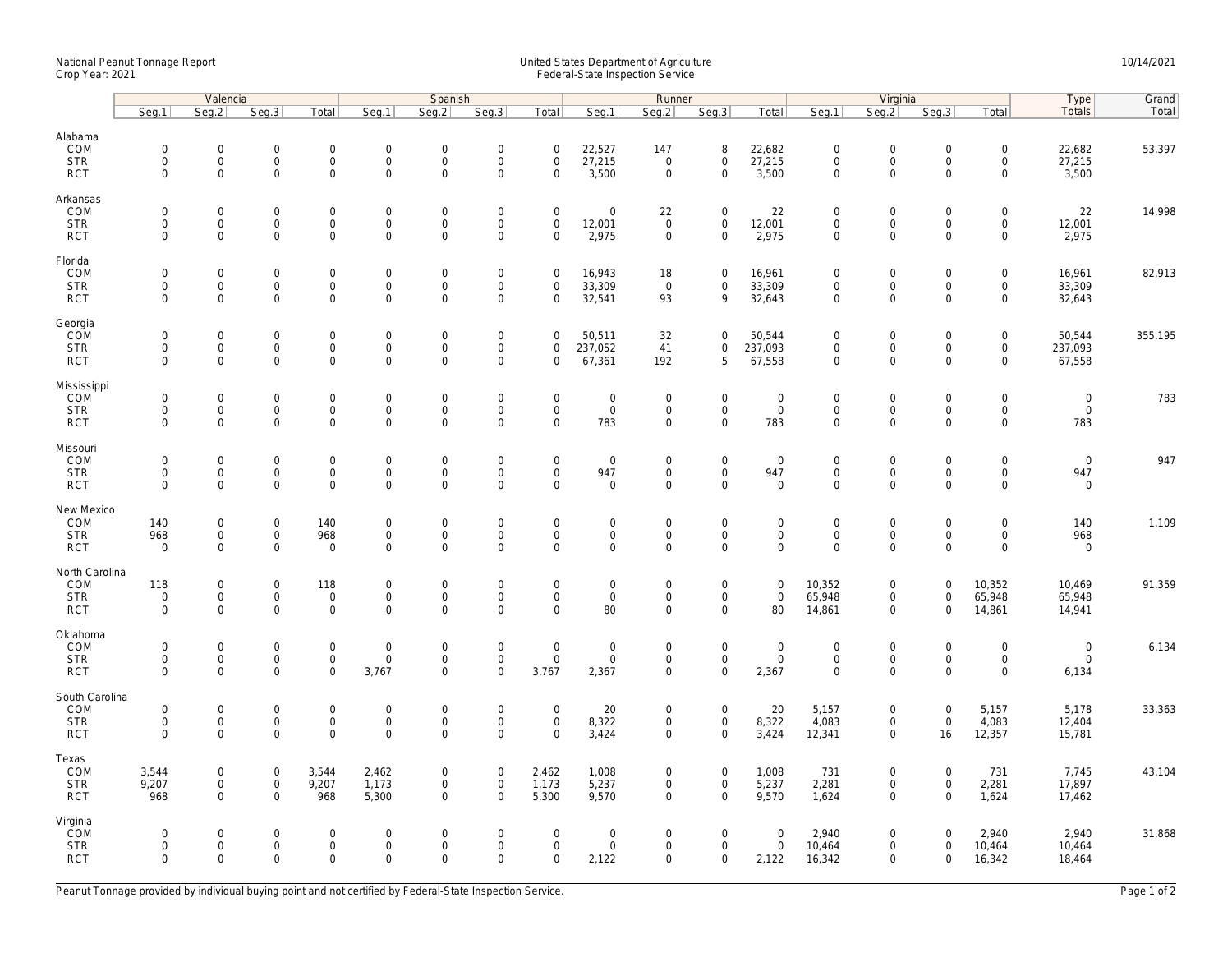## National Peanut Tonnage Report United States Department of Agriculture 10/14/2021<br>Crop Year: 2021 Federal-State Inspection Service

|                          | Valencia                   |                                    |                            |                                    | Spanish                     |                            |                                            |                                            |                                    |                            |                                    | Virginia                   | Type                               | Grand                              |                                    |                                     |                            |         |
|--------------------------|----------------------------|------------------------------------|----------------------------|------------------------------------|-----------------------------|----------------------------|--------------------------------------------|--------------------------------------------|------------------------------------|----------------------------|------------------------------------|----------------------------|------------------------------------|------------------------------------|------------------------------------|-------------------------------------|----------------------------|---------|
|                          | Seg.1                      | Seg.2                              | Seg.3                      | Total                              | Seg.1                       | Seq.2                      | Seg.3                                      | Total                                      | Seg.1                              | Runner<br>Seg.2            | Seg.3                              | Total                      | Seg.1                              | Seg.2                              | Seg.3                              | Total                               | Totals                     | Total   |
| Alabama                  |                            |                                    |                            |                                    |                             |                            |                                            |                                            |                                    |                            |                                    |                            |                                    |                                    |                                    |                                     |                            |         |
| COM                      | $\mathbf 0$                | $\mathsf{O}\xspace$                | $\mathbf 0$                | $\mathsf{O}\xspace$                | $\boldsymbol{0}$            | $\mathbf 0$                | $\mathsf{O}\xspace$                        | $\mathbf 0$                                | 22,527                             | 147                        | 8                                  | 22,682                     | $\mathbf 0$                        | $\mathbf 0$                        | $\mathsf{O}\xspace$                | $\mathsf{O}\xspace$                 | 22,682                     | 53,397  |
| <b>STR</b>               | $\mathbf 0$                | $\mathbf{O}$                       | $\mathbf 0$                | $\mathbf{0}$                       | $\mathbf 0$                 | $\mathbf 0$                | $\mathsf 0$                                | $\mathbf 0$                                | 27,215                             | $\mathbf{0}$               | $\mathbf{0}$                       | 27,215                     | $\mathbf 0$                        | $\mathsf{O}$                       | $\mathbf 0$                        | $\mathsf{O}\xspace$                 | 27,215                     |         |
| <b>RCT</b>               | $\mathbf 0$                | $\mathbf 0$                        | $\mathbf 0$                | $\mathbf 0$                        | $\mathsf 0$                 | $\mathsf{O}\xspace$        | $\mathsf{O}\xspace$                        | $\mathsf{O}\xspace$                        | 3,500                              | $\mathbf 0$                | $\mathbf 0$                        | 3,500                      | $\mathbf 0$                        | $\mathbf 0$                        | $\mathbf 0$                        | $\mathbf 0$                         | 3,500                      |         |
| Arkansas                 |                            |                                    |                            |                                    |                             |                            |                                            |                                            |                                    |                            |                                    |                            |                                    |                                    |                                    |                                     |                            |         |
| COM                      | $\mathbf 0$                | $\mathsf{O}\xspace$                | $\mathbf 0$                | $\mathbf 0$                        | $\mathbf 0$                 | $\mathbf 0$                | $\mathsf{O}\xspace$                        | $\mathsf{O}\xspace$                        | $\mathsf{O}\xspace$                | 22                         | $\mathbf 0$                        | 22                         | $\mathbf 0$                        | $\mathsf{O}\xspace$                | $\mathsf{O}\xspace$                | $\mathsf{O}\xspace$                 | 22                         | 14,998  |
| <b>STR</b>               | $\mathbf 0$                | $\mathsf{O}$                       | $\mathbf 0$                | $\mathbf 0$                        | $\mathbf 0$                 | $\mathsf{O}\xspace$        | $\mathsf 0$                                | $\mathsf{O}\xspace$                        | 12,001                             | $\mathbf 0$                | $\mathbf 0$                        | 12,001                     | $\mathsf{O}\xspace$                | $\mathsf{O}\xspace$                | $\mathsf{O}\xspace$                | $\mathsf{O}$                        | 12,001                     |         |
| <b>RCT</b>               | $\Omega$                   | $\Omega$                           | $\mathbf 0$                | 0                                  | $\Omega$                    | $\Omega$                   | $\mathbf 0$                                | $\Omega$                                   | 2,975                              | $\mathbf 0$                | $\mathbf 0$                        | 2,975                      | $\mathbf 0$                        | $\Omega$                           | $\Omega$                           | $\mathbf 0$                         | 2,975                      |         |
| Florida                  |                            |                                    |                            |                                    |                             |                            |                                            |                                            |                                    |                            |                                    |                            |                                    |                                    |                                    |                                     |                            |         |
| COM                      | $\mathbf 0$                | $\mathsf{O}\xspace$                | $\mathbf 0$                | $\mathsf{O}\xspace$                | $\mathsf{O}$                | $\mathbf 0$                | $\mathsf{O}\xspace$                        | $\mathsf{O}\xspace$                        | 16,943                             | 18                         | $\mathbf 0$                        | 16,961                     | $\mathbf 0$                        | $\mathbf 0$                        | $\mathbf 0$                        | $\mathsf{O}\xspace$                 | 16,961                     | 82,913  |
| <b>STR</b><br><b>RCT</b> | $\mathbf 0$<br>$\mathbf 0$ | $\mathsf{O}\xspace$<br>$\Omega$    | $\mathbf 0$<br>$\mathbf 0$ | $\mathsf{O}\xspace$<br>$\mathbf 0$ | $\mathsf{O}$<br>$\mathbf 0$ | $\mathbf 0$<br>$\mathbf 0$ | $\mathsf{O}\xspace$<br>$\mathbf 0$         | $\mathbf 0$<br>$\Omega$                    | 33,309<br>32,541                   | $\overline{0}$<br>93       | $\mathbf 0$<br>9                   | 33,309<br>32,643           | $\mathsf{O}\xspace$<br>$\mathbf 0$ | $\mathsf{O}\xspace$<br>$\mathbf 0$ | $\mathbf 0$<br>$\Omega$            | $\mathsf{O}\xspace$<br>$\mathbf 0$  | 33,309<br>32,643           |         |
|                          |                            |                                    |                            |                                    |                             |                            |                                            |                                            |                                    |                            |                                    |                            |                                    |                                    |                                    |                                     |                            |         |
| Georgia                  |                            |                                    |                            |                                    |                             |                            |                                            |                                            |                                    |                            |                                    |                            |                                    |                                    |                                    |                                     |                            |         |
| COM<br><b>STR</b>        | $\mathbf 0$<br>$\mathbf 0$ | $\mathbf 0$<br>$\mathsf{O}\xspace$ | $\mathbf 0$<br>$\mathbf 0$ | $\mathbf 0$<br>$\mathbf 0$         | $\mathbf 0$<br>$\mathsf{O}$ | $\mathbf 0$<br>$\mathsf 0$ | $\mathsf{O}\xspace$<br>$\mathsf{O}\xspace$ | $\mathbf 0$<br>$\mathbf 0$                 | 50,511<br>237,052                  | 32<br>41                   | $\mathbf 0$<br>$\mathbf 0$         | 50,544<br>237,093          | $\mathbf 0$<br>$\mathsf{O}\xspace$ | $\mathbf 0$<br>$\mathsf{O}$        | $\mathbf 0$<br>$\mathbf 0$         | $\mathsf{O}\xspace$<br>$\mathsf{O}$ | 50,544<br>237,093          | 355,195 |
| <b>RCT</b>               | $\mathbf 0$                | $\mathbf 0$                        | $\mathbf 0$                | $\mathbf 0$                        | $\mathbf 0$                 | $\mathbf 0$                | $\mathbf 0$                                | $\mathbf 0$                                | 67,361                             | 192                        | 5                                  | 67,558                     | $\mathbf 0$                        | $\mathbf 0$                        | $\mathbf 0$                        | $\mathbf 0$                         | 67,558                     |         |
| Mississippi              |                            |                                    |                            |                                    |                             |                            |                                            |                                            |                                    |                            |                                    |                            |                                    |                                    |                                    |                                     |                            |         |
| <b>COM</b>               | $\mathbf 0$                | $\mathbf 0$                        | $\mathbf 0$                | $\mathbf{0}$                       | $\mathsf{O}$                | $\mathbf 0$                | $\mathsf{O}\xspace$                        | $\mathbf 0$                                | $\mathsf{O}\xspace$                | $\mathbf 0$                | $\mathbf 0$                        | $\mathsf{O}$               | $\mathbf 0$                        | $\mathbf 0$                        | $\mathbf 0$                        | $\mathbf 0$                         | $\mathbf 0$                | 783     |
| <b>STR</b>               | $\mathbf 0$                | $\mathsf{O}$                       | $\mathbf 0$                | $\mathbf 0$                        | $\mathbf 0$                 | $\mathsf 0$                | $\mathsf{O}\xspace$                        | $\mathsf 0$                                | $\mathbf 0$                        | $\mathbf 0$                | $\mathbf 0$                        | $\mathsf{O}$               | $\mathsf{O}\xspace$                | $\mathsf{O}$                       | $\mathsf 0$                        | $\mathsf{O}$                        | $\mathsf{O}$               |         |
| <b>RCT</b>               | $\mathbf 0$                | $\mathsf{O}\xspace$                | 0                          | $\mathbf 0$                        | $\mathbf 0$                 | $\mathsf 0$                | $\mathbf 0$                                | $\mathbf 0$                                | 783                                | 0                          | $\mathbf 0$                        | 783                        | $\mathsf{O}\xspace$                | $\mathbf 0$                        | $\mathbf 0$                        | $\mathbf 0$                         | 783                        |         |
| Missouri                 |                            |                                    |                            |                                    |                             |                            |                                            |                                            |                                    |                            |                                    |                            |                                    |                                    |                                    |                                     |                            |         |
| COM                      | $\mathbf 0$                | $\mathsf{O}\xspace$                | $\mathbf 0$                | $\mathsf{O}\xspace$                | $\mathbf 0$                 | $\mathbf 0$                | $\mathsf{O}\xspace$                        | $\mathsf 0$                                | $\mathsf{O}\xspace$                | $\mathbf 0$                | $\mathbf 0$                        | $\mathbf 0$                | $\mathbf 0$                        | $\mathbf 0$                        | $\mathbf 0$                        | $\mathsf{O}\xspace$                 | $\mathbf 0$                | 947     |
| <b>STR</b><br><b>RCT</b> | $\mathbf 0$<br>$\mathbf 0$ | 0<br>$\mathbf 0$                   | $\mathbf 0$<br>0           | 0<br>$\mathbf 0$                   | $\mathbf 0$<br>$\mathbf 0$  | $\mathbf 0$<br>$\Omega$    | $\mathsf{O}\xspace$<br>$\mathbf 0$         | $\mathbf 0$<br>$\mathbf 0$                 | 947<br>$\mathbf 0$                 | $\mathbf 0$<br>$\mathbf 0$ | 0<br>$\mathbf 0$                   | 947<br>$\mathbf 0$         | $\mathbf 0$<br>$\mathbf 0$         | $\mathbf 0$<br>$\mathbf 0$         | $\mathbf 0$<br>$\mathbf 0$         | $\mathbf 0$<br>$\mathbf 0$          | 947<br>$\mathsf{O}\xspace$ |         |
|                          |                            |                                    |                            |                                    |                             |                            |                                            |                                            |                                    |                            |                                    |                            |                                    |                                    |                                    |                                     |                            |         |
| New Mexico               |                            |                                    |                            |                                    |                             |                            |                                            |                                            |                                    |                            |                                    |                            |                                    |                                    |                                    |                                     |                            |         |
| COM<br><b>STR</b>        | 140<br>968                 | $\mathsf{O}\xspace$<br>0           | $\mathbf 0$<br>$\mathbf 0$ | 140<br>968                         | $\mathbf 0$<br>$\mathsf{O}$ | $\mathbf 0$<br>$\mathbf 0$ | $\mathsf{O}\xspace$<br>$\mathbf 0$         | $\mathsf 0$<br>$\mathbf 0$                 | $\mathsf{O}\xspace$<br>$\mathbf 0$ | $\mathbf 0$<br>$\mathbf 0$ | $\mathsf{O}\xspace$<br>$\mathbf 0$ | $\mathbf 0$<br>$\mathbf 0$ | $\mathbf 0$<br>$\mathbf 0$         | $\mathbf 0$<br>$\mathbf 0$         | $\mathsf 0$<br>$\mathbf 0$         | $\mathsf{O}\xspace$<br>$\mathbf 0$  | 140<br>968                 | 1,109   |
| <b>RCT</b>               | $\mathbf 0$                | $\mathsf{O}\xspace$                | $\mathbf 0$                | $\mathbf 0$                        | $\mathsf 0$                 | $\mathbf 0$                | $\mathbf 0$                                | $\mathbf 0$                                | $\mathbf 0$                        | $\mathbf 0$                | $\mathbf 0$                        | $\mathsf 0$                | $\mathbf 0$                        | $\mathbf 0$                        | $\mathbf 0$                        | $\mathbf 0$                         | $\mathbf 0$                |         |
|                          |                            |                                    |                            |                                    |                             |                            |                                            |                                            |                                    |                            |                                    |                            |                                    |                                    |                                    |                                     |                            |         |
| North Carolina<br>COM    | 118                        | $\mathsf{O}\xspace$                | $\mathsf{O}\xspace$        | 118                                | $\boldsymbol{0}$            | $\mathbf 0$                | $\mathsf{O}\xspace$                        | $\mathbf 0$                                | $\mathsf{O}\xspace$                | 0                          | $\mathbf 0$                        | $\mathbf 0$                | 10,352                             | $\mathsf{O}\xspace$                | $\mathbf 0$                        | 10,352                              | 10,469                     | 91,359  |
| <b>STR</b>               | $\mathbf 0$                | $\mathbf{O}$                       | $\mathbf 0$                | $\mathsf 0$                        | $\mathsf{O}$                | $\mathbf 0$                | $\mathsf 0$                                | $\mathbf 0$                                | $\mathbf{0}$                       | $\mathbf 0$                | $\mathbf 0$                        | $\mathsf{O}$               | 65,948                             | $\mathbf 0$                        | $\mathbf 0$                        | 65,948                              | 65,948                     |         |
| <b>RCT</b>               | $\mathbf 0$                | $\mathbf 0$                        | $\mathbf 0$                | $\mathbf 0$                        | $\mathsf 0$                 | $\mathbf 0$                | $\mathbf 0$                                | $\mathbf 0$                                | 80                                 | 0                          | $\mathbf 0$                        | 80                         | 14,861                             | $\mathbf 0$                        | $\mathbf 0$                        | 14,861                              | 14,941                     |         |
| Oklahoma                 |                            |                                    |                            |                                    |                             |                            |                                            |                                            |                                    |                            |                                    |                            |                                    |                                    |                                    |                                     |                            |         |
| COM                      | $\mathbf 0$                | $\mathsf{O}\xspace$                | $\mathbf 0$                | $\mathbf 0$                        | $\mathbf 0$                 | $\mathbf 0$                | $\mathsf{O}\xspace$                        | $\mathsf 0$                                | $\mathsf{O}\xspace$                | $\mathbf 0$                | $\mathbf 0$                        | $\mathbf 0$                | $\mathbf 0$                        | $\mathsf{O}\xspace$                | $\mathsf 0$                        | $\mathsf{O}\xspace$                 | $\mathbf 0$                | 6,134   |
| <b>STR</b>               | $\mathbf 0$                | $\mathbf 0$                        | $\mathbf 0$                | $\mathsf 0$                        | $\mathbf 0$                 | $\mathsf 0$                | $\mathsf{O}\xspace$                        | $\mathsf 0$                                | $\mathsf{O}\xspace$                | $\mathbf 0$                | $\mathbf 0$                        | $\mathsf 0$                | $\mathsf{O}\xspace$                | $\mathbf 0$                        | $\mathbf 0$                        | $\mathbf 0$                         | $\mathbf 0$                |         |
| <b>RCT</b>               | $\Omega$                   | $\Omega$                           | $\Omega$                   | 0                                  | 3,767                       | $\mathbf 0$                | $\Omega$                                   | 3,767                                      | 2,367                              | 0                          | 0                                  | 2,367                      | $\Omega$                           | $\mathbf 0$                        | $\Omega$                           | $\mathsf{O}\xspace$                 | 6,134                      |         |
| South Carolina           |                            |                                    |                            |                                    |                             |                            |                                            |                                            |                                    |                            |                                    |                            |                                    |                                    |                                    |                                     |                            |         |
| COM<br><b>STR</b>        | $\mathbf 0$<br>$\mathbf 0$ | 0<br>$\mathsf{O}\xspace$           | $\mathbf 0$<br>$\mathbf 0$ | $\mathsf{O}\xspace$<br>$\mathsf 0$ | $\mathbf 0$<br>$\mathsf{O}$ | $\mathbf 0$                | $\mathsf{O}\xspace$<br>$\mathsf{O}\xspace$ | $\mathsf{O}\xspace$<br>$\mathsf{O}\xspace$ | 20<br>8,322                        | $\mathbf 0$<br>0           | $\mathsf 0$<br>$\mathsf{O}$        | 20<br>8,322                | 5,157<br>4,083                     | $\mathbf 0$<br>$\mathbf 0$         | $\mathsf 0$<br>$\mathsf{O}\xspace$ | 5,157<br>4,083                      | 5,178                      | 33,363  |
| <b>RCT</b>               | $\Omega$                   | $\mathbf 0$                        | $\mathbf 0$                | $\mathbf{O}$                       | $\mathbf 0$                 | $\mathbf 0$<br>$\mathbf 0$ | $\mathbf 0$                                | $\Omega$                                   | 3,424                              | $\mathbf 0$                | $\mathbf{0}$                       | 3,424                      | 12,341                             | $\mathbf 0$                        | 16                                 | 12,357                              | 12,404<br>15,781           |         |
|                          |                            |                                    |                            |                                    |                             |                            |                                            |                                            |                                    |                            |                                    |                            |                                    |                                    |                                    |                                     |                            |         |
| Texas<br>COM             | 3,544                      | $\mathbf{0}$                       | $\mathbf 0$                | 3,544                              | 2,462                       | $\mathbf 0$                | $\mathbf 0$                                | 2,462                                      | 1,008                              | 0                          | $\overline{0}$                     | 1,008                      | 731                                | $\mathbf{0}$                       | $\mathbf 0$                        | 731                                 | 7,745                      | 43,104  |
| <b>STR</b>               | 9,207                      | $\mathsf{O}\xspace$                | $\mathsf{O}\xspace$        | 9,207                              | 1,173                       | $\mathsf 0$                | $\mathsf{O}\xspace$                        | 1,173                                      | 5,237                              | 0                          | $\mathsf 0$                        | 5,237                      | 2,281                              | $\mathsf{O}\xspace$                | $\mathsf 0$                        | 2,281                               | 17,897                     |         |
| <b>RCT</b>               | 968                        | $\mathbf 0$                        | $\mathbf 0$                | 968                                | 5,300                       | $\mathbf 0$                | $\mathbf 0$                                | 5,300                                      | 9,570                              | $\mathbf 0$                | $\mathbf 0$                        | 9,570                      | 1,624                              | $\mathbf 0$                        | $\mathbf 0$                        | 1,624                               | 17,462                     |         |
| Virginia                 |                            |                                    |                            |                                    |                             |                            |                                            |                                            |                                    |                            |                                    |                            |                                    |                                    |                                    |                                     |                            |         |
| <b>ČOM</b>               | $\mathbf 0$                | $\mathbf{0}$                       | $\mathbf 0$                | $\mathbf 0$                        | $\mathbf 0$                 | $\mathbf 0$                | $\mathbf 0$                                | $\mathbf 0$                                | $\mathbf 0$                        | $\Omega$                   | $\mathbf 0$                        | $\mathbf 0$                | 2,940                              | $\mathbf 0$                        | $\mathbf 0$                        | 2,940                               | 2,940                      | 31,868  |
| <b>STR</b>               | $\mathbf 0$                | $\mathsf{O}\xspace$                | $\mathbf 0$                | $\mathsf{O}\xspace$                | $\mathsf{O}$                | $\mathbf 0$                | $\mathsf{O}\xspace$                        | $\mathbf 0$                                | $\mathbf 0$                        | $\mathbf 0$                | $\mathsf 0$                        | $\mathsf{O}$               | 10,464                             | $\mathbf 0$                        | $\mathbf 0$                        | 10,464                              | 10,464                     |         |
| <b>RCT</b>               | $\mathbf 0$                | $\mathbf 0$                        | $\mathbf 0$                | $\mathsf{O}\xspace$                | $\mathbf 0$                 | $\Omega$                   | $\mathbf 0$                                | $\mathbf 0$                                | 2,122                              | $\mathbf 0$                | $\mathbf 0$                        | 2,122                      | 16,342                             | $\mathbf 0$                        | $\mathbf 0$                        | 16,342                              | 18,464                     |         |
|                          |                            |                                    |                            |                                    |                             |                            |                                            |                                            |                                    |                            |                                    |                            |                                    |                                    |                                    |                                     |                            |         |

Peanut Tonnage provided by individual buying point and not certified by Federal-State Inspection Service. Page 1 of 2